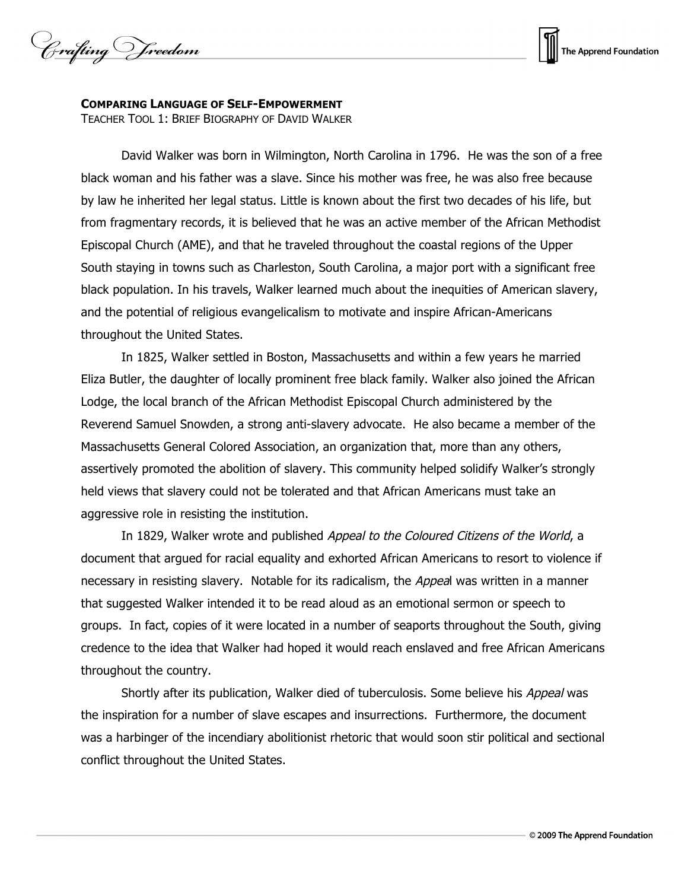Crafting Vreedom



## **COMPARING LANGUAGE OF SELF-EMPOWERMENT**

TEACHER TOOL 1: BRIEF BIOGRAPHY OF DAVID WALKER

David Walker was born in Wilmington, North Carolina in 1796. He was the son of a free black woman and his father was a slave. Since his mother was free, he was also free because by law he inherited her legal status. Little is known about the first two decades of his life, but from fragmentary records, it is believed that he was an active member of the African Methodist Episcopal Church (AME), and that he traveled throughout the coastal regions of the Upper South staying in towns such as Charleston, South Carolina, a major port with a significant free black population. In his travels, Walker learned much about the inequities of American slavery, and the potential of religious evangelicalism to motivate and inspire African-Americans throughout the United States.

In 1825, Walker settled in Boston, Massachusetts and within a few years he married Eliza Butler, the daughter of locally prominent free black family. Walker also joined the African Lodge, the local branch of the African Methodist Episcopal Church administered by the Reverend Samuel Snowden, a strong anti-slavery advocate. He also became a member of the Massachusetts General Colored Association, an organization that, more than any others, assertively promoted the abolition of slavery. This community helped solidify Walker's strongly held views that slavery could not be tolerated and that African Americans must take an aggressive role in resisting the institution.

In 1829, Walker wrote and published Appeal to the Coloured Citizens of the World, a document that argued for racial equality and exhorted African Americans to resort to violence if necessary in resisting slavery. Notable for its radicalism, the Appeal was written in a manner that suggested Walker intended it to be read aloud as an emotional sermon or speech to groups. In fact, copies of it were located in a number of seaports throughout the South, giving credence to the idea that Walker had hoped it would reach enslaved and free African Americans throughout the country.

Shortly after its publication, Walker died of tuberculosis. Some believe his Appeal was the inspiration for a number of slave escapes and insurrections. Furthermore, the document was a harbinger of the incendiary abolitionist rhetoric that would soon stir political and sectional conflict throughout the United States.